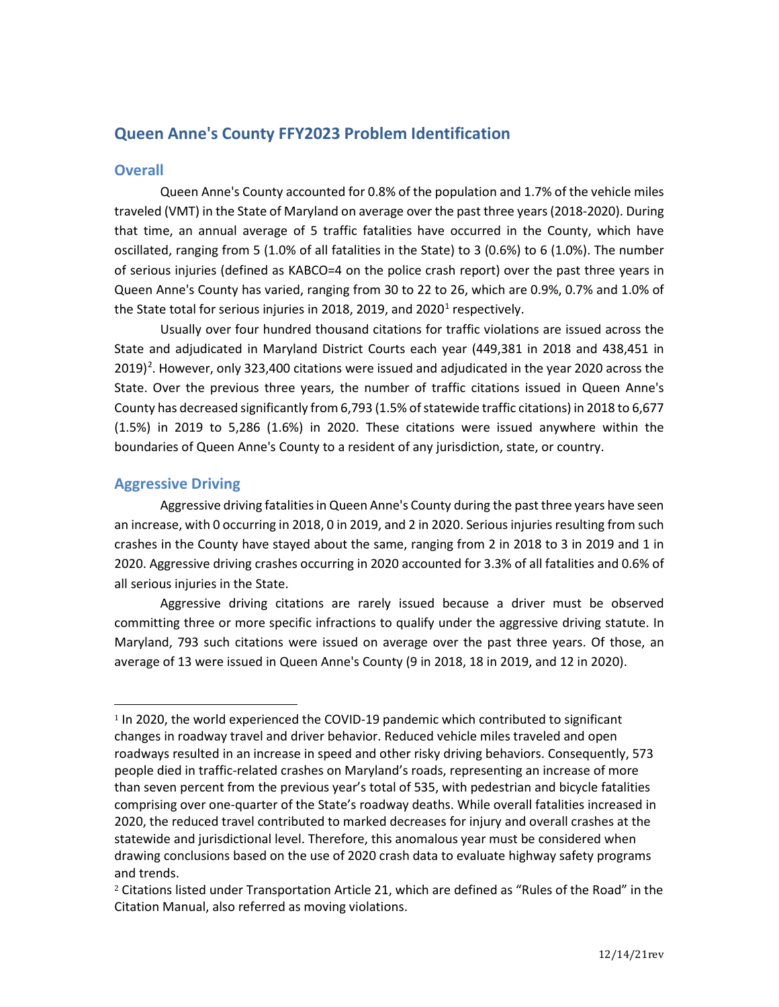# **Queen Anne's County FFY2023 Problem Identification**

# **Overall**

Queen Anne's County accounted for 0.8% of the population and 1.7% of the vehicle miles traveled (VMT) in the State of Maryland on average over the past three years (2018-2020). During that time, an annual average of 5 traffic fatalities have occurred in the County, which have oscillated, ranging from 5 (1.0% of all fatalities in the State) to 3 (0.6%) to 6 (1.0%). The number of serious injuries (defined as KABCO=4 on the police crash report) over the past three years in Queen Anne's County has varied, ranging from 30 to 22 to 26, which are 0.9%, 0.7% and 1.0% of the State total for serious injuries in 20[1](#page-0-0)8, 2019, and 2020<sup>1</sup> respectively.

Usually over four hundred thousand citations for traffic violations are issued across the State and adjudicated in Maryland District Courts each year (449,381 in 2018 and 438,451 in [2](#page-0-1)019)<sup>2</sup>. However, only 323,400 citations were issued and adjudicated in the year 2020 across the State. Over the previous three years, the number of traffic citations issued in Queen Anne's County has decreased significantly from 6,793 (1.5% of statewide traffic citations) in 2018 to 6,677 (1.5%) in 2019 to 5,286 (1.6%) in 2020. These citations were issued anywhere within the boundaries of Queen Anne's County to a resident of any jurisdiction, state, or country.

# **Aggressive Driving**

Aggressive driving fatalities in Queen Anne's County during the past three years have seen an increase, with 0 occurring in 2018, 0 in 2019, and 2 in 2020. Serious injuries resulting from such crashes in the County have stayed about the same, ranging from 2 in 2018 to 3 in 2019 and 1 in 2020. Aggressive driving crashes occurring in 2020 accounted for 3.3% of all fatalities and 0.6% of all serious injuries in the State.

Aggressive driving citations are rarely issued because a driver must be observed committing three or more specific infractions to qualify under the aggressive driving statute. In Maryland, 793 such citations were issued on average over the past three years. Of those, an average of 13 were issued in Queen Anne's County (9 in 2018, 18 in 2019, and 12 in 2020).

<span id="page-0-0"></span><sup>&</sup>lt;sup>1</sup> In 2020, the world experienced the COVID-19 pandemic which contributed to significant changes in roadway travel and driver behavior. Reduced vehicle miles traveled and open roadways resulted in an increase in speed and other risky driving behaviors. Consequently, 573 people died in traffic-related crashes on Maryland's roads, representing an increase of more than seven percent from the previous year's total of 535, with pedestrian and bicycle fatalities comprising over one-quarter of the State's roadway deaths. While overall fatalities increased in 2020, the reduced travel contributed to marked decreases for injury and overall crashes at the statewide and jurisdictional level. Therefore, this anomalous year must be considered when drawing conclusions based on the use of 2020 crash data to evaluate highway safety programs and trends.

<span id="page-0-1"></span><sup>2</sup> Citations listed under Transportation Article 21, which are defined as "Rules of the Road" in the Citation Manual, also referred as moving violations.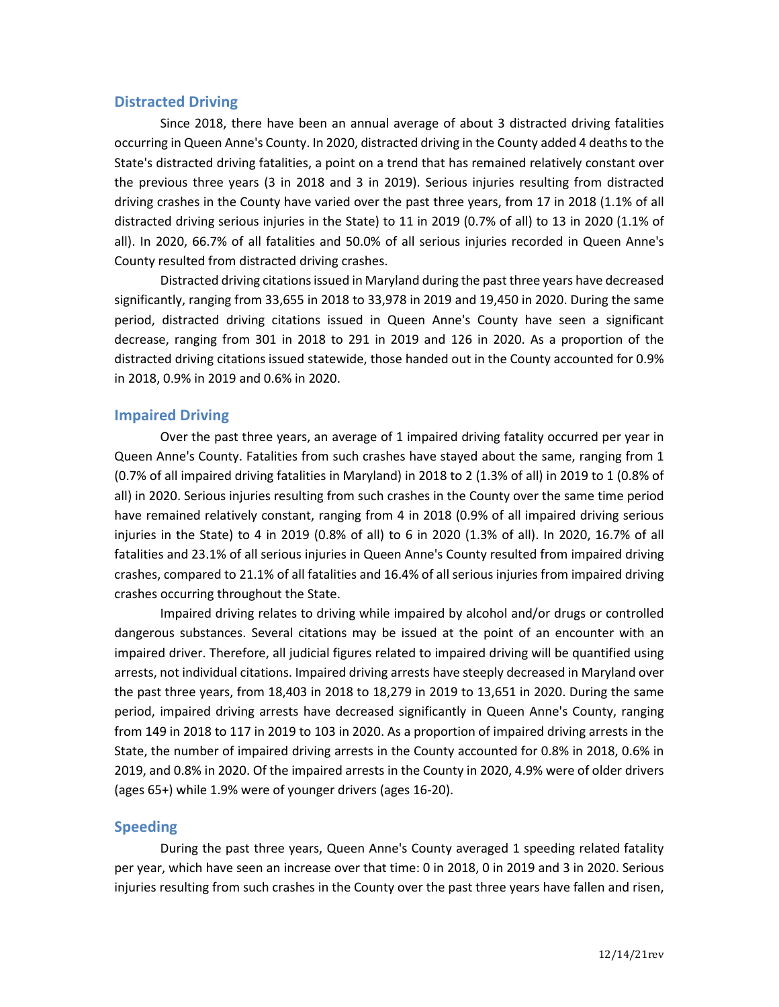### **Distracted Driving**

Since 2018, there have been an annual average of about 3 distracted driving fatalities occurring in Queen Anne's County. In 2020, distracted driving in the County added 4 deaths to the State's distracted driving fatalities, a point on a trend that has remained relatively constant over the previous three years (3 in 2018 and 3 in 2019). Serious injuries resulting from distracted driving crashes in the County have varied over the past three years, from 17 in 2018 (1.1% of all distracted driving serious injuries in the State) to 11 in 2019 (0.7% of all) to 13 in 2020 (1.1% of all). In 2020, 66.7% of all fatalities and 50.0% of all serious injuries recorded in Queen Anne's County resulted from distracted driving crashes.

Distracted driving citations issued in Maryland during the past three years have decreased significantly, ranging from 33,655 in 2018 to 33,978 in 2019 and 19,450 in 2020. During the same period, distracted driving citations issued in Queen Anne's County have seen a significant decrease, ranging from 301 in 2018 to 291 in 2019 and 126 in 2020. As a proportion of the distracted driving citations issued statewide, those handed out in the County accounted for 0.9% in 2018, 0.9% in 2019 and 0.6% in 2020.

### **Impaired Driving**

Over the past three years, an average of 1 impaired driving fatality occurred per year in Queen Anne's County. Fatalities from such crashes have stayed about the same, ranging from 1 (0.7% of all impaired driving fatalities in Maryland) in 2018 to 2 (1.3% of all) in 2019 to 1 (0.8% of all) in 2020. Serious injuries resulting from such crashes in the County over the same time period have remained relatively constant, ranging from 4 in 2018 (0.9% of all impaired driving serious injuries in the State) to 4 in 2019 (0.8% of all) to 6 in 2020 (1.3% of all). In 2020, 16.7% of all fatalities and 23.1% of all serious injuries in Queen Anne's County resulted from impaired driving crashes, compared to 21.1% of all fatalities and 16.4% of all serious injuries from impaired driving crashes occurring throughout the State.

Impaired driving relates to driving while impaired by alcohol and/or drugs or controlled dangerous substances. Several citations may be issued at the point of an encounter with an impaired driver. Therefore, all judicial figures related to impaired driving will be quantified using arrests, not individual citations. Impaired driving arrests have steeply decreased in Maryland over the past three years, from 18,403 in 2018 to 18,279 in 2019 to 13,651 in 2020. During the same period, impaired driving arrests have decreased significantly in Queen Anne's County, ranging from 149 in 2018 to 117 in 2019 to 103 in 2020. As a proportion of impaired driving arrests in the State, the number of impaired driving arrests in the County accounted for 0.8% in 2018, 0.6% in 2019, and 0.8% in 2020. Of the impaired arrests in the County in 2020, 4.9% were of older drivers (ages 65+) while 1.9% were of younger drivers (ages 16-20).

#### **Speeding**

During the past three years, Queen Anne's County averaged 1 speeding related fatality per year, which have seen an increase over that time: 0 in 2018, 0 in 2019 and 3 in 2020. Serious injuries resulting from such crashes in the County over the past three years have fallen and risen,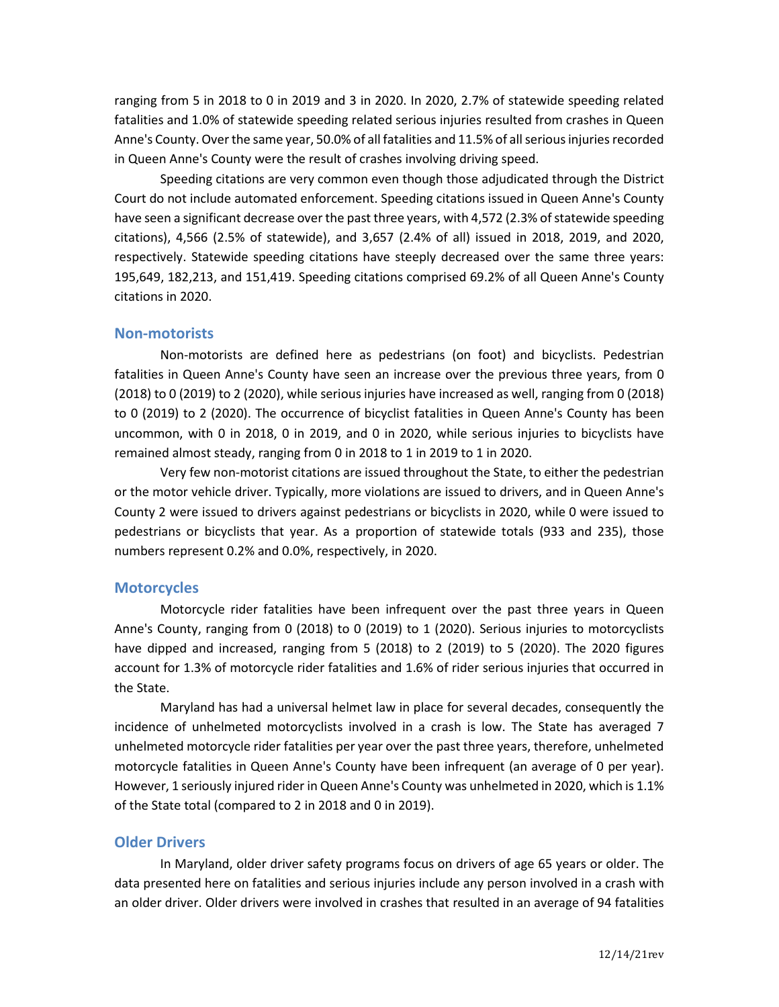ranging from 5 in 2018 to 0 in 2019 and 3 in 2020. In 2020, 2.7% of statewide speeding related fatalities and 1.0% of statewide speeding related serious injuries resulted from crashes in Queen Anne's County. Over the same year, 50.0% of all fatalities and 11.5% of all serious injuries recorded in Queen Anne's County were the result of crashes involving driving speed.

Speeding citations are very common even though those adjudicated through the District Court do not include automated enforcement. Speeding citations issued in Queen Anne's County have seen a significant decrease over the past three years, with 4,572 (2.3% of statewide speeding citations), 4,566 (2.5% of statewide), and 3,657 (2.4% of all) issued in 2018, 2019, and 2020, respectively. Statewide speeding citations have steeply decreased over the same three years: 195,649, 182,213, and 151,419. Speeding citations comprised 69.2% of all Queen Anne's County citations in 2020.

#### **Non-motorists**

Non-motorists are defined here as pedestrians (on foot) and bicyclists. Pedestrian fatalities in Queen Anne's County have seen an increase over the previous three years, from 0 (2018) to 0 (2019) to 2 (2020), while seriousinjuries have increased as well, ranging from 0 (2018) to 0 (2019) to 2 (2020). The occurrence of bicyclist fatalities in Queen Anne's County has been uncommon, with 0 in 2018, 0 in 2019, and 0 in 2020, while serious injuries to bicyclists have remained almost steady, ranging from 0 in 2018 to 1 in 2019 to 1 in 2020.

Very few non-motorist citations are issued throughout the State, to either the pedestrian or the motor vehicle driver. Typically, more violations are issued to drivers, and in Queen Anne's County 2 were issued to drivers against pedestrians or bicyclists in 2020, while 0 were issued to pedestrians or bicyclists that year. As a proportion of statewide totals (933 and 235), those numbers represent 0.2% and 0.0%, respectively, in 2020.

#### **Motorcycles**

Motorcycle rider fatalities have been infrequent over the past three years in Queen Anne's County, ranging from 0 (2018) to 0 (2019) to 1 (2020). Serious injuries to motorcyclists have dipped and increased, ranging from 5 (2018) to 2 (2019) to 5 (2020). The 2020 figures account for 1.3% of motorcycle rider fatalities and 1.6% of rider serious injuries that occurred in the State.

Maryland has had a universal helmet law in place for several decades, consequently the incidence of unhelmeted motorcyclists involved in a crash is low. The State has averaged 7 unhelmeted motorcycle rider fatalities per year over the past three years, therefore, unhelmeted motorcycle fatalities in Queen Anne's County have been infrequent (an average of 0 per year). However, 1 seriously injured rider in Queen Anne's County was unhelmeted in 2020, which is 1.1% of the State total (compared to 2 in 2018 and 0 in 2019).

#### **Older Drivers**

In Maryland, older driver safety programs focus on drivers of age 65 years or older. The data presented here on fatalities and serious injuries include any person involved in a crash with an older driver. Older drivers were involved in crashes that resulted in an average of 94 fatalities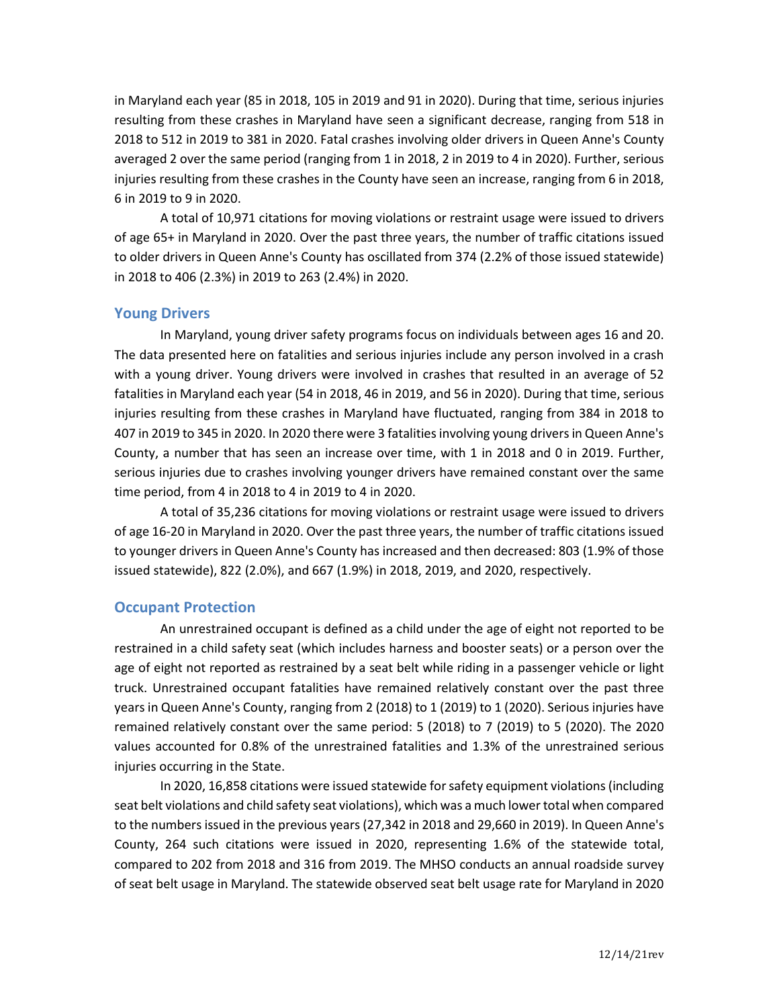in Maryland each year (85 in 2018, 105 in 2019 and 91 in 2020). During that time, serious injuries resulting from these crashes in Maryland have seen a significant decrease, ranging from 518 in 2018 to 512 in 2019 to 381 in 2020. Fatal crashes involving older drivers in Queen Anne's County averaged 2 over the same period (ranging from 1 in 2018, 2 in 2019 to 4 in 2020). Further, serious injuries resulting from these crashes in the County have seen an increase, ranging from 6 in 2018, 6 in 2019 to 9 in 2020.

A total of 10,971 citations for moving violations or restraint usage were issued to drivers of age 65+ in Maryland in 2020. Over the past three years, the number of traffic citations issued to older drivers in Queen Anne's County has oscillated from 374 (2.2% of those issued statewide) in 2018 to 406 (2.3%) in 2019 to 263 (2.4%) in 2020.

## **Young Drivers**

In Maryland, young driver safety programs focus on individuals between ages 16 and 20. The data presented here on fatalities and serious injuries include any person involved in a crash with a young driver. Young drivers were involved in crashes that resulted in an average of 52 fatalities in Maryland each year (54 in 2018, 46 in 2019, and 56 in 2020). During that time, serious injuries resulting from these crashes in Maryland have fluctuated, ranging from 384 in 2018 to 407 in 2019 to 345 in 2020. In 2020 there were 3 fatalities involving young drivers in Queen Anne's County, a number that has seen an increase over time, with 1 in 2018 and 0 in 2019. Further, serious injuries due to crashes involving younger drivers have remained constant over the same time period, from 4 in 2018 to 4 in 2019 to 4 in 2020.

A total of 35,236 citations for moving violations or restraint usage were issued to drivers of age 16-20 in Maryland in 2020. Over the past three years, the number of traffic citations issued to younger drivers in Queen Anne's County has increased and then decreased: 803 (1.9% of those issued statewide), 822 (2.0%), and 667 (1.9%) in 2018, 2019, and 2020, respectively.

### **Occupant Protection**

An unrestrained occupant is defined as a child under the age of eight not reported to be restrained in a child safety seat (which includes harness and booster seats) or a person over the age of eight not reported as restrained by a seat belt while riding in a passenger vehicle or light truck. Unrestrained occupant fatalities have remained relatively constant over the past three years in Queen Anne's County, ranging from 2 (2018) to 1 (2019) to 1 (2020). Serious injuries have remained relatively constant over the same period: 5 (2018) to 7 (2019) to 5 (2020). The 2020 values accounted for 0.8% of the unrestrained fatalities and 1.3% of the unrestrained serious injuries occurring in the State.

In 2020, 16,858 citations were issued statewide for safety equipment violations(including seat belt violations and child safety seat violations), which was a much lower total when compared to the numbers issued in the previous years (27,342 in 2018 and 29,660 in 2019). In Queen Anne's County, 264 such citations were issued in 2020, representing 1.6% of the statewide total, compared to 202 from 2018 and 316 from 2019. The MHSO conducts an annual roadside survey of seat belt usage in Maryland. The statewide observed seat belt usage rate for Maryland in 2020